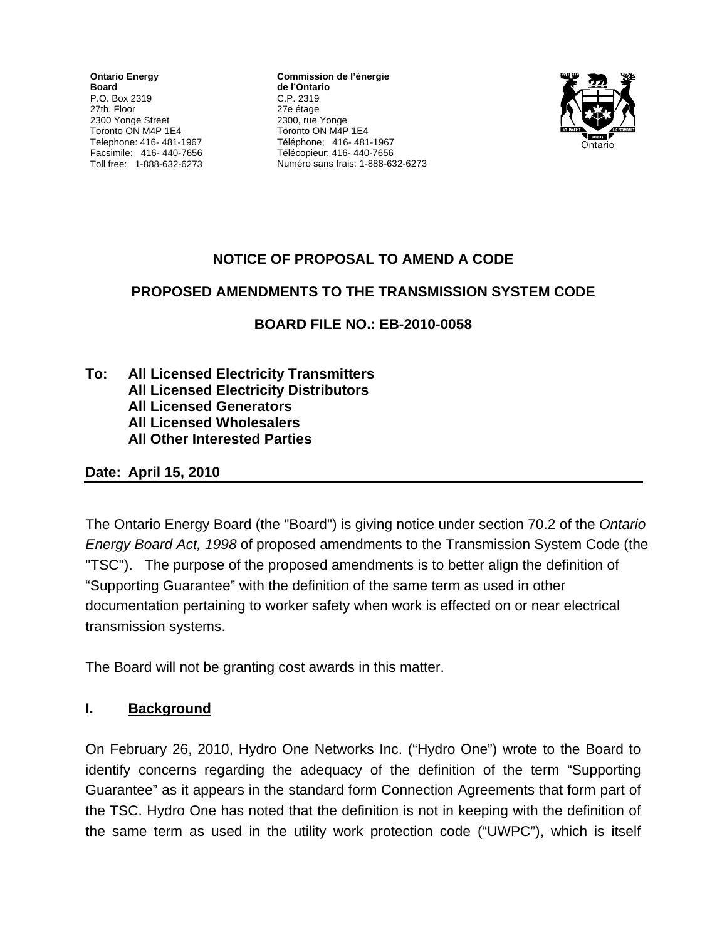**Ontario Energy Board**  P.O. Box 2319 27th. Floor 2300 Yonge Street Toronto ON M4P 1E4 Telephone: 416- 481-1967 Facsimile: 416- 440-7656 Toll free: 1-888-632-6273

**Commission de l'énergie de l'Ontario** C.P. 2319 27e étage 2300, rue Yonge Toronto ON M4P 1E4 Téléphone; 416- 481-1967 Télécopieur: 416- 440-7656 Numéro sans frais: 1-888-632-6273



# **NOTICE OF PROPOSAL TO AMEND A CODE**

## **PROPOSED AMENDMENTS TO THE TRANSMISSION SYSTEM CODE**

**BOARD FILE NO.: EB-2010-0058**

**To: All Licensed Electricity Transmitters All Licensed Electricity Distributors All Licensed Generators All Licensed Wholesalers All Other Interested Parties** 

#### **Date: April 15, 2010**

The Ontario Energy Board (the "Board") is giving notice under section 70.2 of the *Ontario Energy Board Act, 1998* of proposed amendments to the Transmission System Code (the "TSC"). The purpose of the proposed amendments is to better align the definition of "Supporting Guarantee" with the definition of the same term as used in other documentation pertaining to worker safety when work is effected on or near electrical transmission systems.

The Board will not be granting cost awards in this matter.

## **I. Background**

On February 26, 2010, Hydro One Networks Inc. ("Hydro One") wrote to the Board to identify concerns regarding the adequacy of the definition of the term "Supporting Guarantee" as it appears in the standard form Connection Agreements that form part of the TSC. Hydro One has noted that the definition is not in keeping with the definition of the same term as used in the utility work protection code ("UWPC"), which is itself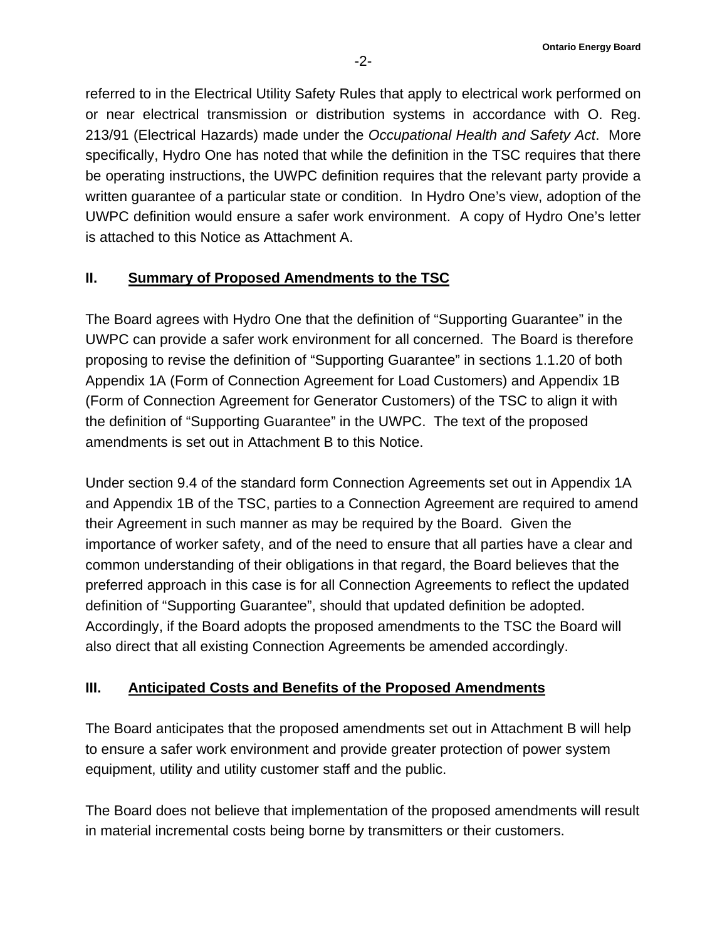referred to in the Electrical Utility Safety Rules that apply to electrical work performed on or near electrical transmission or distribution systems in accordance with O. Reg. 213/91 (Electrical Hazards) made under the *Occupational Health and Safety Act*. More specifically, Hydro One has noted that while the definition in the TSC requires that there be operating instructions, the UWPC definition requires that the relevant party provide a written guarantee of a particular state or condition. In Hydro One's view, adoption of the UWPC definition would ensure a safer work environment. A copy of Hydro One's letter is attached to this Notice as Attachment A.

#### **II. Summary of Proposed Amendments to the TSC**

The Board agrees with Hydro One that the definition of "Supporting Guarantee" in the UWPC can provide a safer work environment for all concerned. The Board is therefore proposing to revise the definition of "Supporting Guarantee" in sections 1.1.20 of both Appendix 1A (Form of Connection Agreement for Load Customers) and Appendix 1B (Form of Connection Agreement for Generator Customers) of the TSC to align it with the definition of "Supporting Guarantee" in the UWPC. The text of the proposed amendments is set out in Attachment B to this Notice.

Under section 9.4 of the standard form Connection Agreements set out in Appendix 1A and Appendix 1B of the TSC, parties to a Connection Agreement are required to amend their Agreement in such manner as may be required by the Board. Given the importance of worker safety, and of the need to ensure that all parties have a clear and common understanding of their obligations in that regard, the Board believes that the preferred approach in this case is for all Connection Agreements to reflect the updated definition of "Supporting Guarantee", should that updated definition be adopted. Accordingly, if the Board adopts the proposed amendments to the TSC the Board will also direct that all existing Connection Agreements be amended accordingly.

#### **III. Anticipated Costs and Benefits of the Proposed Amendments**

The Board anticipates that the proposed amendments set out in Attachment B will help to ensure a safer work environment and provide greater protection of power system equipment, utility and utility customer staff and the public.

The Board does not believe that implementation of the proposed amendments will result in material incremental costs being borne by transmitters or their customers.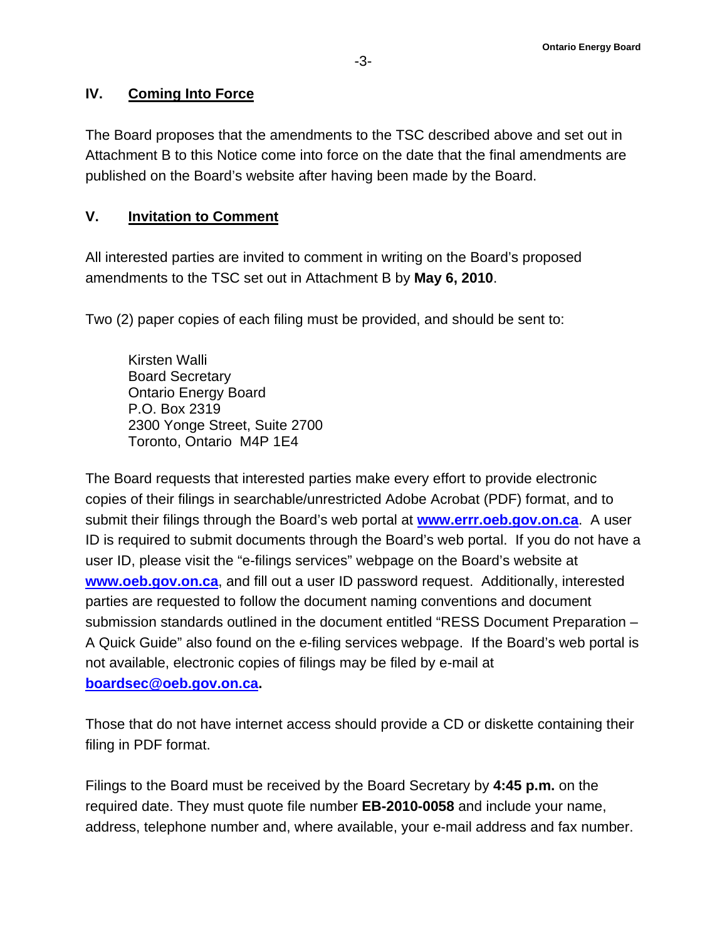#### **IV. Coming Into Force**

The Board proposes that the amendments to the TSC described above and set out in Attachment B to this Notice come into force on the date that the final amendments are published on the Board's website after having been made by the Board.

#### **V. Invitation to Comment**

All interested parties are invited to comment in writing on the Board's proposed amendments to the TSC set out in Attachment B by **May 6, 2010**.

Two (2) paper copies of each filing must be provided, and should be sent to:

Kirsten Walli Board Secretary Ontario Energy Board P.O. Box 2319 2300 Yonge Street, Suite 2700 Toronto, Ontario M4P 1E4

The Board requests that interested parties make every effort to provide electronic copies of their filings in searchable/unrestricted Adobe Acrobat (PDF) format, and to submit their filings through the Board's web portal at **[www.errr.oeb.gov.on.ca](http://www.errr.oeb.gov.on.ca/)**. A user ID is required to submit documents through the Board's web portal. If you do not have a user ID, please visit the "e-filings services" webpage on the Board's website at **[www.oeb.gov.on.ca](http://www.oeb.gov.on.ca/)**, and fill out a user ID password request. Additionally, interested parties are requested to follow the document naming conventions and document submission standards outlined in the document entitled "RESS Document Preparation – A Quick Guide" also found on the e-filing services webpage. If the Board's web portal is not available, electronic copies of filings may be filed by e-mail at **[boardsec@oeb.gov.on.ca.](mailto:boardsec@oeb.gov.on.ca)**

Those that do not have internet access should provide a CD or diskette containing their filing in PDF format.

Filings to the Board must be received by the Board Secretary by **4:45 p.m.** on the required date. They must quote file number **EB-2010-0058** and include your name, address, telephone number and, where available, your e-mail address and fax number.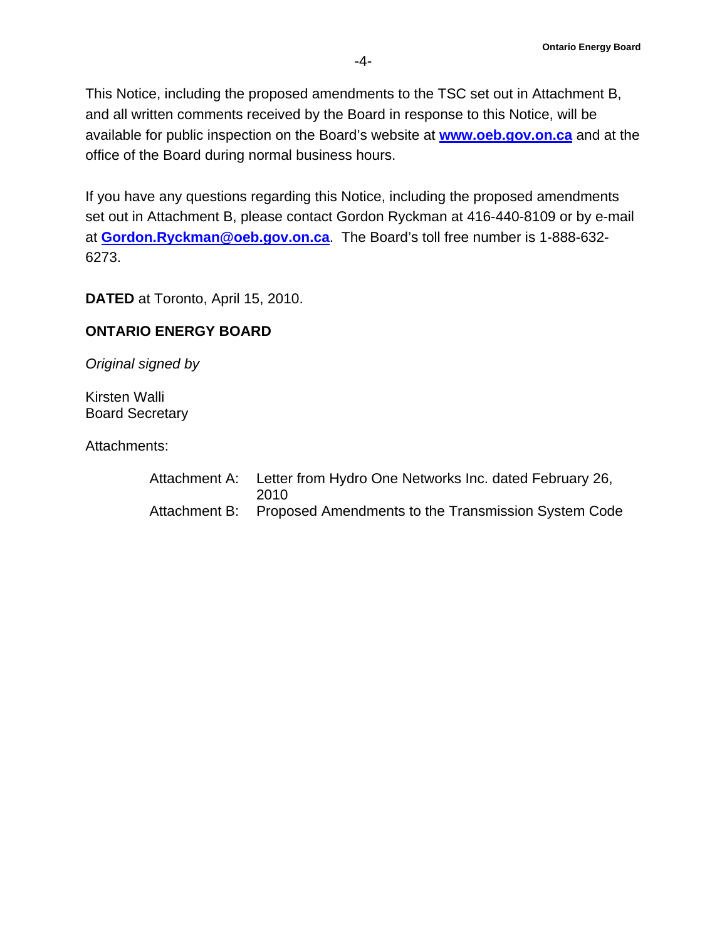This Notice, including the proposed amendments to the TSC set out in Attachment B, and all written comments received by the Board in response to this Notice, will be available for public inspection on the Board's website at **[www.oeb.gov.on.ca](http://www.oeb.gov.on.ca/)** and at the office of the Board during normal business hours.

If you have any questions regarding this Notice, including the proposed amendments set out in Attachment B, please contact Gordon Ryckman at 416-440-8109 or by e-mail at **[Gordon.Ryckman@oeb.gov.on.ca](mailto:Gordon.Ryckman@oeb.gov.on.ca)**. The Board's toll free number is 1-888-632- 6273.

**DATED** at Toronto, April 15, 2010.

#### **ONTARIO ENERGY BOARD**

*Original signed by* 

Kirsten Walli Board Secretary

Attachments:

| Attachment A: Letter from Hydro One Networks Inc. dated February 26,<br>2010 |
|------------------------------------------------------------------------------|
| Attachment B: Proposed Amendments to the Transmission System Code            |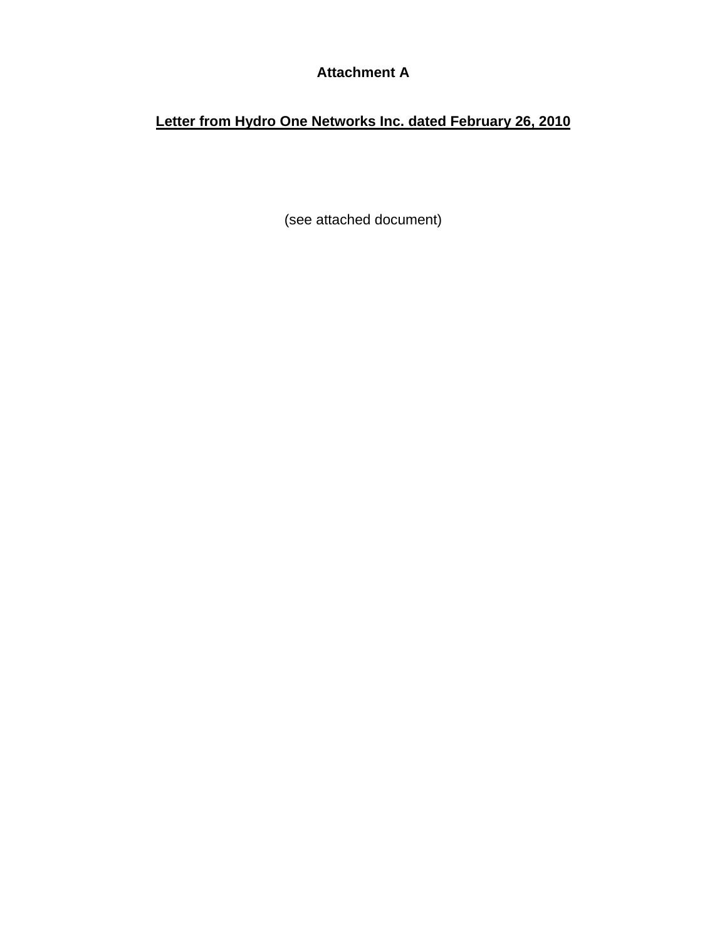# **Attachment A**

# **Letter from Hydro One Networks Inc. dated February 26, 2010**

(see attached document)